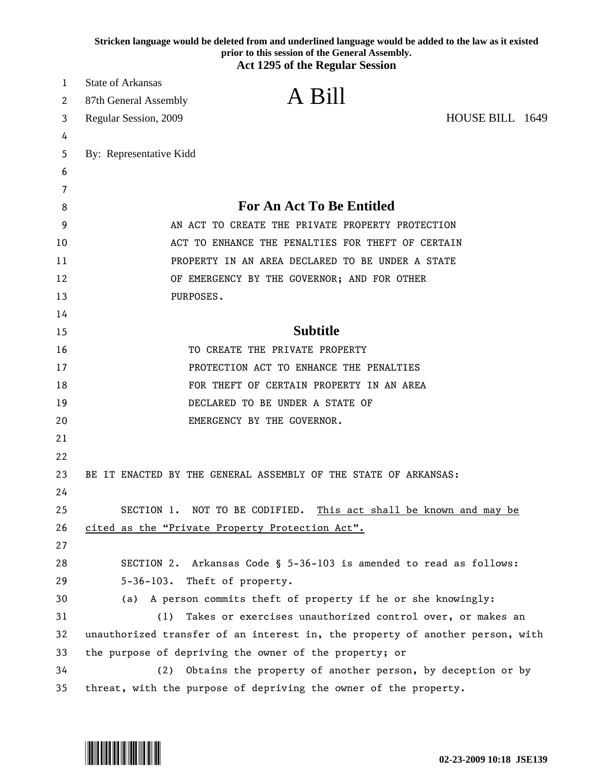|    | Stricken language would be deleted from and underlined language would be added to the law as it existed<br>prior to this session of the General Assembly. |
|----|-----------------------------------------------------------------------------------------------------------------------------------------------------------|
|    | <b>Act 1295 of the Regular Session</b>                                                                                                                    |
| 1  | <b>State of Arkansas</b>                                                                                                                                  |
| 2  | A Bill<br>87th General Assembly                                                                                                                           |
| 3  | HOUSE BILL 1649<br>Regular Session, 2009                                                                                                                  |
| 4  |                                                                                                                                                           |
| 5  | By: Representative Kidd                                                                                                                                   |
| 6  |                                                                                                                                                           |
| 7  |                                                                                                                                                           |
| 8  | <b>For An Act To Be Entitled</b>                                                                                                                          |
| 9  | AN ACT TO CREATE THE PRIVATE PROPERTY PROTECTION                                                                                                          |
| 10 | ACT TO ENHANCE THE PENALTIES FOR THEFT OF CERTAIN                                                                                                         |
| 11 | PROPERTY IN AN AREA DECLARED TO BE UNDER A STATE                                                                                                          |
| 12 | OF EMERGENCY BY THE GOVERNOR; AND FOR OTHER                                                                                                               |
| 13 | PURPOSES.                                                                                                                                                 |
| 14 |                                                                                                                                                           |
| 15 | <b>Subtitle</b>                                                                                                                                           |
| 16 | TO CREATE THE PRIVATE PROPERTY                                                                                                                            |
| 17 | PROTECTION ACT TO ENHANCE THE PENALTIES                                                                                                                   |
| 18 | FOR THEFT OF CERTAIN PROPERTY IN AN AREA                                                                                                                  |
| 19 | DECLARED TO BE UNDER A STATE OF                                                                                                                           |
| 20 | EMERGENCY BY THE GOVERNOR.                                                                                                                                |
| 21 |                                                                                                                                                           |
| 22 |                                                                                                                                                           |
| 23 | BE IT ENACTED BY THE GENERAL ASSEMBLY OF THE STATE OF ARKANSAS:                                                                                           |
| 24 |                                                                                                                                                           |
| 25 | SECTION 1. NOT TO BE CODIFIED.<br>This act shall be known and may be                                                                                      |
| 26 | cited as the "Private Property Protection Act".                                                                                                           |
| 27 |                                                                                                                                                           |
| 28 | SECTION 2. Arkansas Code § 5-36-103 is amended to read as follows:                                                                                        |
| 29 | Theft of property.<br>$5 - 36 - 103$ .                                                                                                                    |
| 30 | A person commits theft of property if he or she knowingly:<br>(a)                                                                                         |
| 31 | Takes or exercises unauthorized control over, or makes an<br>(1)                                                                                          |
| 32 | unauthorized transfer of an interest in, the property of another person, with                                                                             |
| 33 | the purpose of depriving the owner of the property; or                                                                                                    |
| 34 | Obtains the property of another person, by deception or by<br>(2)                                                                                         |
| 35 | threat, with the purpose of depriving the owner of the property.                                                                                          |

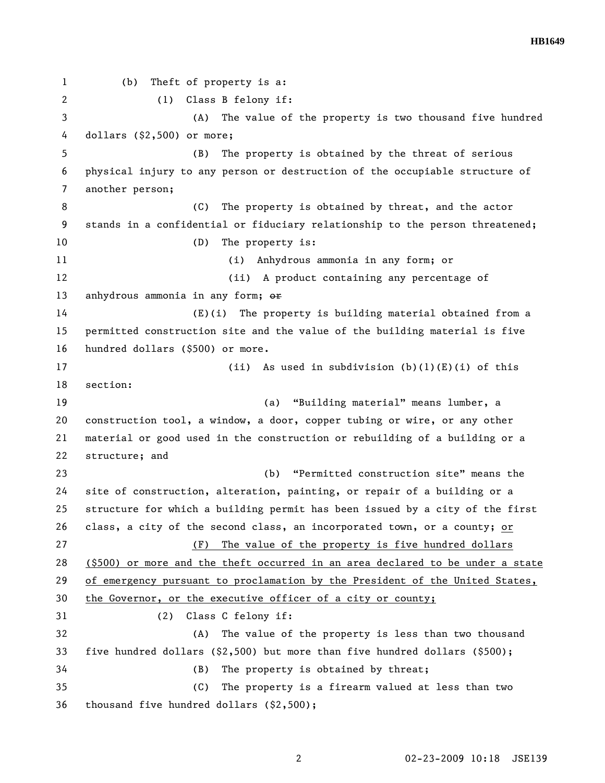**HB1649** 

1 (b) Theft of property is a: 2 (1) Class B felony if: 3 (A) The value of the property is two thousand five hundred 4 dollars (\$2,500) or more; 5 (B) The property is obtained by the threat of serious 6 physical injury to any person or destruction of the occupiable structure of 7 another person; 8 (C) The property is obtained by threat, and the actor 9 stands in a confidential or fiduciary relationship to the person threatened; 10 (D) The property is: 11 (i) Anhydrous ammonia in any form; or 12 (ii) A product containing any percentage of 13 anhydrous ammonia in any form; or 14 (E)(i) The property is building material obtained from a 15 permitted construction site and the value of the building material is five 16 hundred dollars (\$500) or more. 17 (ii) As used in subdivision (b)(1)(E)(i) of this 18 section: 19 (a) "Building material" means lumber, a 20 construction tool, a window, a door, copper tubing or wire, or any other 21 material or good used in the construction or rebuilding of a building or a 22 structure; and 23 (b) "Permitted construction site" means the 24 site of construction, alteration, painting, or repair of a building or a 25 structure for which a building permit has been issued by a city of the first 26 class, a city of the second class, an incorporated town, or a county; or 27 (F) The value of the property is five hundred dollars 28 (\$500) or more and the theft occurred in an area declared to be under a state 29 of emergency pursuant to proclamation by the President of the United States, 30 the Governor, or the executive officer of a city or county; 31 (2) Class C felony if: 32 (A) The value of the property is less than two thousand 33 five hundred dollars (\$2,500) but more than five hundred dollars (\$500); 34 (B) The property is obtained by threat; 35 (C) The property is a firearm valued at less than two 36 thousand five hundred dollars (\$2,500);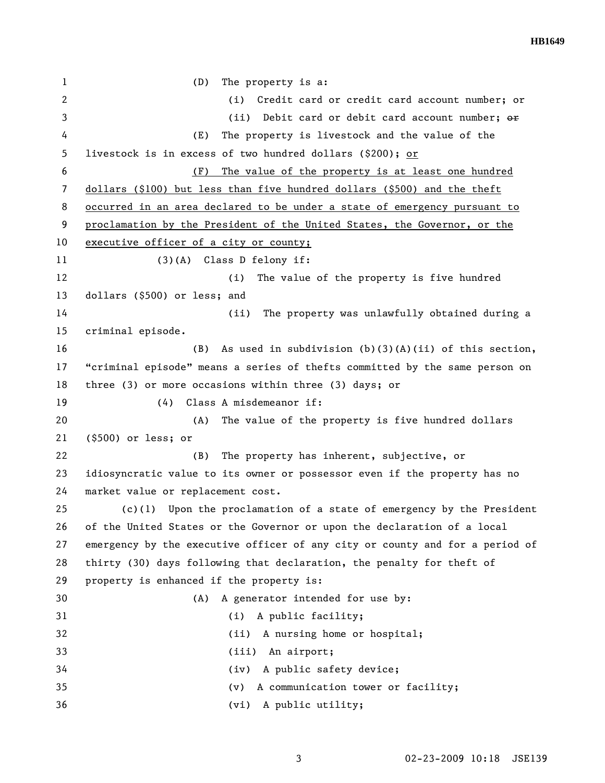**HB1649** 

1 (D) The property is a: 2 (i) Credit card or credit card account number; or 3 (ii) Debit card or debit card account number; or 4 (E) The property is livestock and the value of the 5 livestock is in excess of two hundred dollars (\$200); or 6 (F) The value of the property is at least one hundred 7 dollars (\$100) but less than five hundred dollars (\$500) and the theft 8 occurred in an area declared to be under a state of emergency pursuant to 9 proclamation by the President of the United States, the Governor, or the 10 executive officer of a city or county; 11 (3)(A) Class D felony if: 12 (i) The value of the property is five hundred 13 dollars (\$500) or less; and 14 (ii) The property was unlawfully obtained during a 15 criminal episode. 16 (B) As used in subdivision (b)(3)(A)(ii) of this section, 17 "criminal episode" means a series of thefts committed by the same person on 18 three (3) or more occasions within three (3) days; or 19 (4) Class A misdemeanor if: 20 (A) The value of the property is five hundred dollars 21 (\$500) or less; or 22 (B) The property has inherent, subjective, or 23 idiosyncratic value to its owner or possessor even if the property has no 24 market value or replacement cost. 25 (c)(1) Upon the proclamation of a state of emergency by the President 26 of the United States or the Governor or upon the declaration of a local 27 emergency by the executive officer of any city or county and for a period of 28 thirty (30) days following that declaration, the penalty for theft of 29 property is enhanced if the property is: 30 (A) A generator intended for use by: 31 (i) A public facility; 32 (ii) A nursing home or hospital; 33 (iii) An airport; 34 (iv) A public safety device; 35 (v) A communication tower or facility; 36 (vi) A public utility;